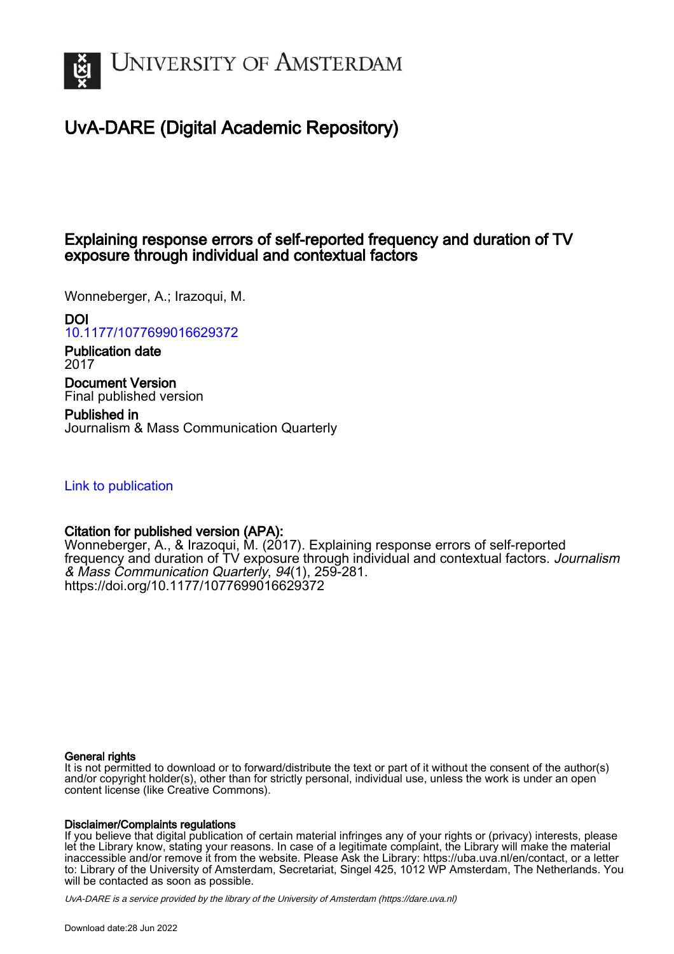

# UvA-DARE (Digital Academic Repository)

# Explaining response errors of self-reported frequency and duration of TV exposure through individual and contextual factors

Wonneberger, A.; Irazoqui, M.

# DOI

[10.1177/1077699016629372](https://doi.org/10.1177/1077699016629372)

Publication date 2017

Document Version Final published version

Published in Journalism & Mass Communication Quarterly

[Link to publication](https://dare.uva.nl/personal/pure/en/publications/explaining-response-errors-of-selfreported-frequency-and-duration-of-tv-exposure-through-individual-and-contextual-factors(8ee6593b-4d1e-43cd-88a7-f4dd02d34e30).html)

# Citation for published version (APA):

Wonneberger, A., & Irazoqui, M. (2017). Explaining response errors of self-reported frequency and duration of TV exposure through individual and contextual factors. Journalism & Mass Communication Quarterly, 94(1), 259-281. <https://doi.org/10.1177/1077699016629372>

### General rights

It is not permitted to download or to forward/distribute the text or part of it without the consent of the author(s) and/or copyright holder(s), other than for strictly personal, individual use, unless the work is under an open content license (like Creative Commons).

### Disclaimer/Complaints regulations

If you believe that digital publication of certain material infringes any of your rights or (privacy) interests, please let the Library know, stating your reasons. In case of a legitimate complaint, the Library will make the material inaccessible and/or remove it from the website. Please Ask the Library: https://uba.uva.nl/en/contact, or a letter to: Library of the University of Amsterdam, Secretariat, Singel 425, 1012 WP Amsterdam, The Netherlands. You will be contacted as soon as possible.

UvA-DARE is a service provided by the library of the University of Amsterdam (http*s*://dare.uva.nl)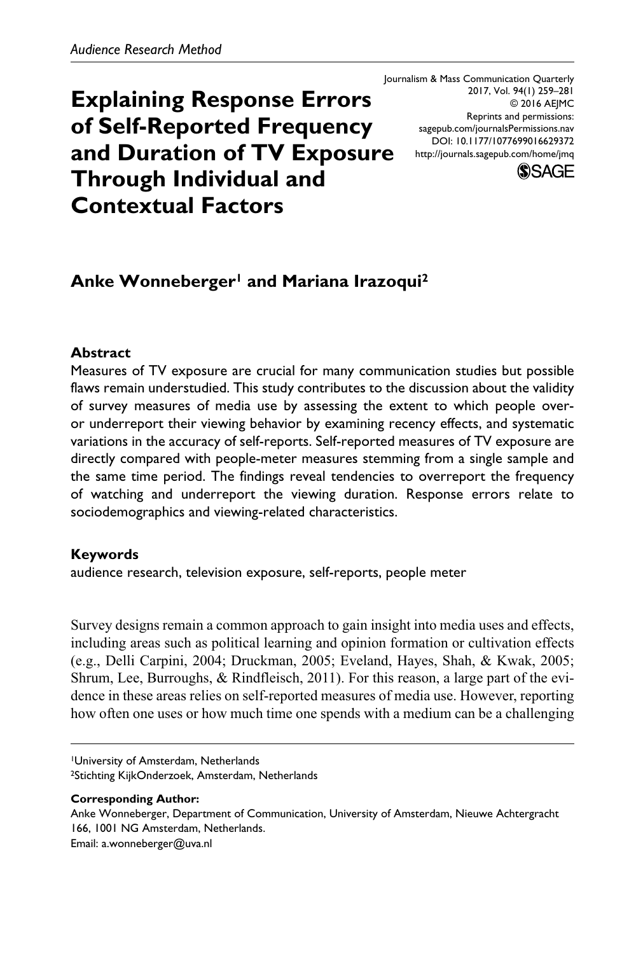# **Explaining Response Errors of Self-Reported Frequency and Duration of TV Exposure Through Individual and Contextual Factors**

Journalism & Mass Communication Quarterly 2017, Vol. 94(1) 259–281 © 2016 AEJMC Reprints and permissions: [sagepub.com/journalsPermissions.nav](https://us.sagepub.com/en-us/journals-permissions)  [DOI: 10.1177/1077699016629372](https://doi.org/10.1177/1077699016629372) http://journals.sagepub.com/home/jmq



# Anke Wonneberger<sup>1</sup> and Mariana Irazoqui<sup>2</sup>

#### **Abstract**

Measures of TV exposure are crucial for many communication studies but possible flaws remain understudied. This study contributes to the discussion about the validity of survey measures of media use by assessing the extent to which people overor underreport their viewing behavior by examining recency effects, and systematic variations in the accuracy of self-reports. Self-reported measures of TV exposure are directly compared with people-meter measures stemming from a single sample and the same time period. The findings reveal tendencies to overreport the frequency of watching and underreport the viewing duration. Response errors relate to sociodemographics and viewing-related characteristics.

#### **Keywords**

audience research, television exposure, self-reports, people meter

Survey designs remain a common approach to gain insight into media uses and effects, including areas such as political learning and opinion formation or cultivation effects (e.g., Delli Carpini, 2004; Druckman, 2005; Eveland, Hayes, Shah, & Kwak, 2005; Shrum, Lee, Burroughs, & Rindfleisch, 2011). For this reason, a large part of the evidence in these areas relies on self-reported measures of media use. However, reporting how often one uses or how much time one spends with a medium can be a challenging

1University of Amsterdam, Netherlands 2Stichting KijkOnderzoek, Amsterdam, Netherlands

#### **Corresponding Author:**

Anke Wonneberger, Department of Communication, University of Amsterdam, Nieuwe Achtergracht 166, 1001 NG Amsterdam, Netherlands. Email: [a.wonneberger@uva.nl](mailto:a.wonneberger@uva.nl)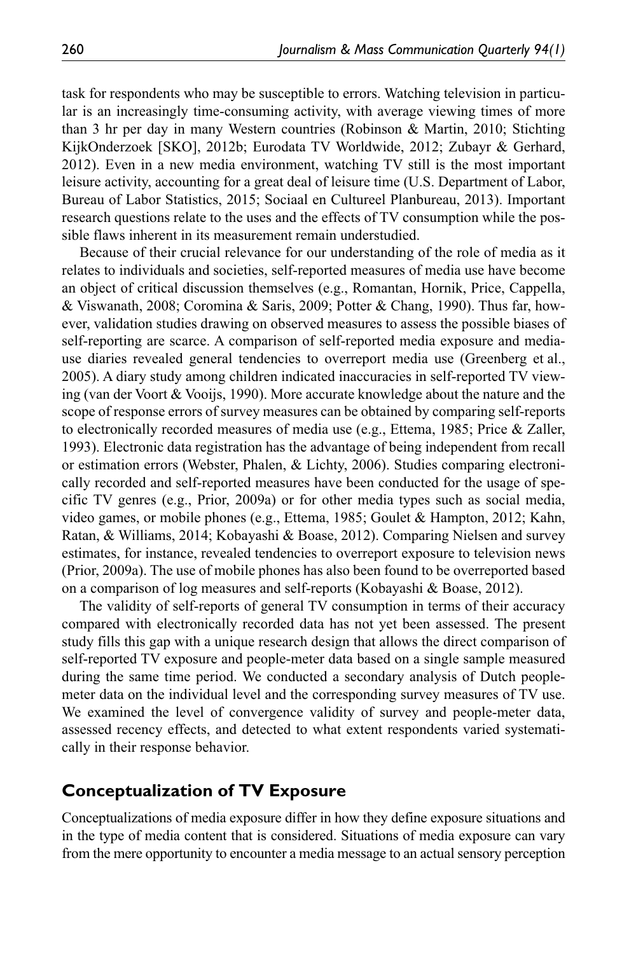task for respondents who may be susceptible to errors. Watching television in particular is an increasingly time-consuming activity, with average viewing times of more than 3 hr per day in many Western countries (Robinson & Martin, 2010; Stichting KijkOnderzoek [SKO], 2012b; Eurodata TV Worldwide, 2012; Zubayr & Gerhard, 2012). Even in a new media environment, watching TV still is the most important leisure activity, accounting for a great deal of leisure time (U.S. Department of Labor, Bureau of Labor Statistics, 2015; Sociaal en Cultureel Planbureau, 2013). Important research questions relate to the uses and the effects of TV consumption while the possible flaws inherent in its measurement remain understudied.

Because of their crucial relevance for our understanding of the role of media as it relates to individuals and societies, self-reported measures of media use have become an object of critical discussion themselves (e.g., Romantan, Hornik, Price, Cappella, & Viswanath, 2008; Coromina & Saris, 2009; Potter & Chang, 1990). Thus far, however, validation studies drawing on observed measures to assess the possible biases of self-reporting are scarce. A comparison of self-reported media exposure and mediause diaries revealed general tendencies to overreport media use (Greenberg et al., 2005). A diary study among children indicated inaccuracies in self-reported TV viewing (van der Voort & Vooijs, 1990). More accurate knowledge about the nature and the scope of response errors of survey measures can be obtained by comparing self-reports to electronically recorded measures of media use (e.g., Ettema, 1985; Price & Zaller, 1993). Electronic data registration has the advantage of being independent from recall or estimation errors (Webster, Phalen, & Lichty, 2006). Studies comparing electronically recorded and self-reported measures have been conducted for the usage of specific TV genres (e.g., Prior, 2009a) or for other media types such as social media, video games, or mobile phones (e.g., Ettema, 1985; Goulet & Hampton, 2012; Kahn, Ratan, & Williams, 2014; Kobayashi & Boase, 2012). Comparing Nielsen and survey estimates, for instance, revealed tendencies to overreport exposure to television news (Prior, 2009a). The use of mobile phones has also been found to be overreported based on a comparison of log measures and self-reports (Kobayashi & Boase, 2012).

The validity of self-reports of general TV consumption in terms of their accuracy compared with electronically recorded data has not yet been assessed. The present study fills this gap with a unique research design that allows the direct comparison of self-reported TV exposure and people-meter data based on a single sample measured during the same time period. We conducted a secondary analysis of Dutch peoplemeter data on the individual level and the corresponding survey measures of TV use. We examined the level of convergence validity of survey and people-meter data, assessed recency effects, and detected to what extent respondents varied systematically in their response behavior.

## **Conceptualization of TV Exposure**

Conceptualizations of media exposure differ in how they define exposure situations and in the type of media content that is considered. Situations of media exposure can vary from the mere opportunity to encounter a media message to an actual sensory perception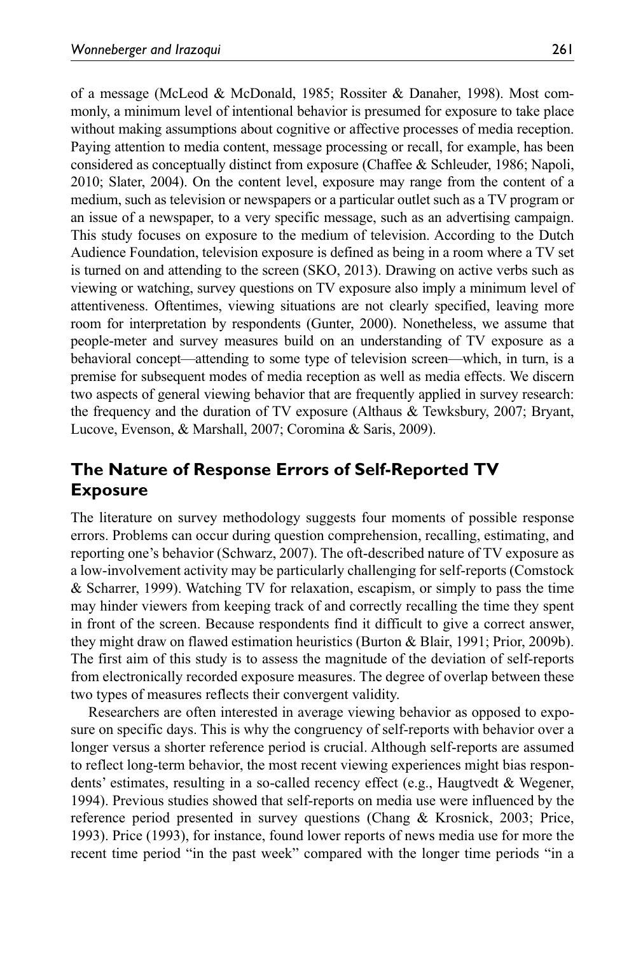of a message (McLeod & McDonald, 1985; Rossiter & Danaher, 1998). Most commonly, a minimum level of intentional behavior is presumed for exposure to take place without making assumptions about cognitive or affective processes of media reception. Paying attention to media content, message processing or recall, for example, has been considered as conceptually distinct from exposure (Chaffee & Schleuder, 1986; Napoli, 2010; Slater, 2004). On the content level, exposure may range from the content of a medium, such as television or newspapers or a particular outlet such as a TV program or an issue of a newspaper, to a very specific message, such as an advertising campaign. This study focuses on exposure to the medium of television. According to the Dutch Audience Foundation, television exposure is defined as being in a room where a TV set is turned on and attending to the screen (SKO, 2013). Drawing on active verbs such as viewing or watching, survey questions on TV exposure also imply a minimum level of attentiveness. Oftentimes, viewing situations are not clearly specified, leaving more room for interpretation by respondents (Gunter, 2000). Nonetheless, we assume that people-meter and survey measures build on an understanding of TV exposure as a behavioral concept—attending to some type of television screen—which, in turn, is a premise for subsequent modes of media reception as well as media effects. We discern two aspects of general viewing behavior that are frequently applied in survey research: the frequency and the duration of TV exposure (Althaus & Tewksbury, 2007; Bryant, Lucove, Evenson, & Marshall, 2007; Coromina & Saris, 2009).

# **The Nature of Response Errors of Self-Reported TV Exposure**

The literature on survey methodology suggests four moments of possible response errors. Problems can occur during question comprehension, recalling, estimating, and reporting one's behavior (Schwarz, 2007). The oft-described nature of TV exposure as a low-involvement activity may be particularly challenging for self-reports (Comstock & Scharrer, 1999). Watching TV for relaxation, escapism, or simply to pass the time may hinder viewers from keeping track of and correctly recalling the time they spent in front of the screen. Because respondents find it difficult to give a correct answer, they might draw on flawed estimation heuristics (Burton & Blair, 1991; Prior, 2009b). The first aim of this study is to assess the magnitude of the deviation of self-reports from electronically recorded exposure measures. The degree of overlap between these two types of measures reflects their convergent validity.

Researchers are often interested in average viewing behavior as opposed to exposure on specific days. This is why the congruency of self-reports with behavior over a longer versus a shorter reference period is crucial. Although self-reports are assumed to reflect long-term behavior, the most recent viewing experiences might bias respondents' estimates, resulting in a so-called recency effect (e.g., Haugtvedt & Wegener, 1994). Previous studies showed that self-reports on media use were influenced by the reference period presented in survey questions (Chang & Krosnick, 2003; Price, 1993). Price (1993), for instance, found lower reports of news media use for more the recent time period "in the past week" compared with the longer time periods "in a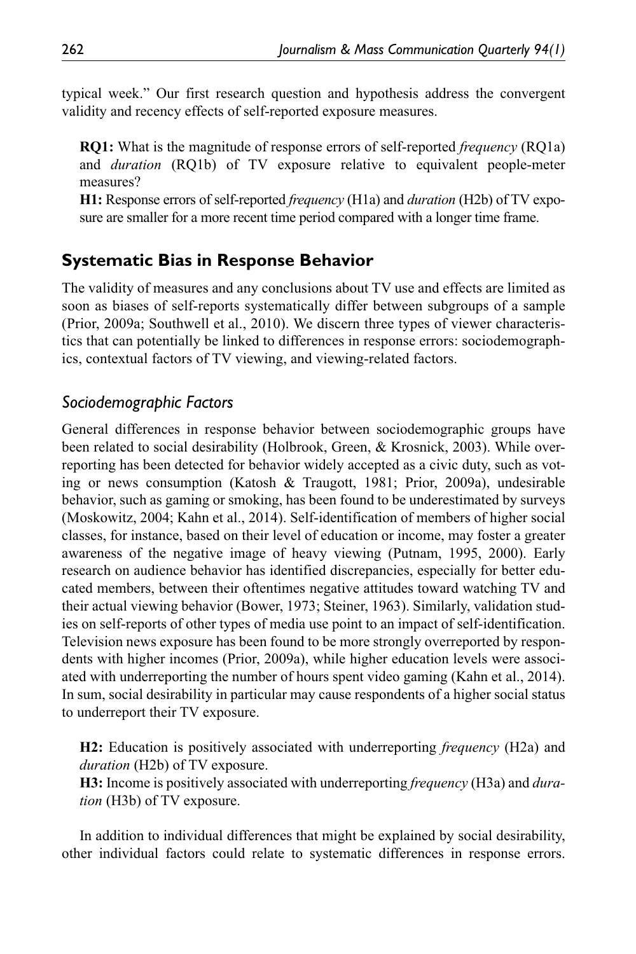typical week." Our first research question and hypothesis address the convergent validity and recency effects of self-reported exposure measures.

**RQ1:** What is the magnitude of response errors of self-reported *frequency* (RQ1a) and *duration* (RQ1b) of TV exposure relative to equivalent people-meter measures?

**H1:** Response errors of self-reported *frequency* (H1a) and *duration* (H2b) of TV exposure are smaller for a more recent time period compared with a longer time frame.

# **Systematic Bias in Response Behavior**

The validity of measures and any conclusions about TV use and effects are limited as soon as biases of self-reports systematically differ between subgroups of a sample (Prior, 2009a; Southwell et al., 2010). We discern three types of viewer characteristics that can potentially be linked to differences in response errors: sociodemographics, contextual factors of TV viewing, and viewing-related factors.

# *Sociodemographic Factors*

General differences in response behavior between sociodemographic groups have been related to social desirability (Holbrook, Green, & Krosnick, 2003). While overreporting has been detected for behavior widely accepted as a civic duty, such as voting or news consumption (Katosh & Traugott, 1981; Prior, 2009a), undesirable behavior, such as gaming or smoking, has been found to be underestimated by surveys (Moskowitz, 2004; Kahn et al., 2014). Self-identification of members of higher social classes, for instance, based on their level of education or income, may foster a greater awareness of the negative image of heavy viewing (Putnam, 1995, 2000). Early research on audience behavior has identified discrepancies, especially for better educated members, between their oftentimes negative attitudes toward watching TV and their actual viewing behavior (Bower, 1973; Steiner, 1963). Similarly, validation studies on self-reports of other types of media use point to an impact of self-identification. Television news exposure has been found to be more strongly overreported by respondents with higher incomes (Prior, 2009a), while higher education levels were associated with underreporting the number of hours spent video gaming (Kahn et al., 2014). In sum, social desirability in particular may cause respondents of a higher social status to underreport their TV exposure.

**H2:** Education is positively associated with underreporting *frequency* (H2a) and *duration* (H2b) of TV exposure.

**H3:** Income is positively associated with underreporting *frequency* (H3a) and *duration* (H3b) of TV exposure.

In addition to individual differences that might be explained by social desirability, other individual factors could relate to systematic differences in response errors.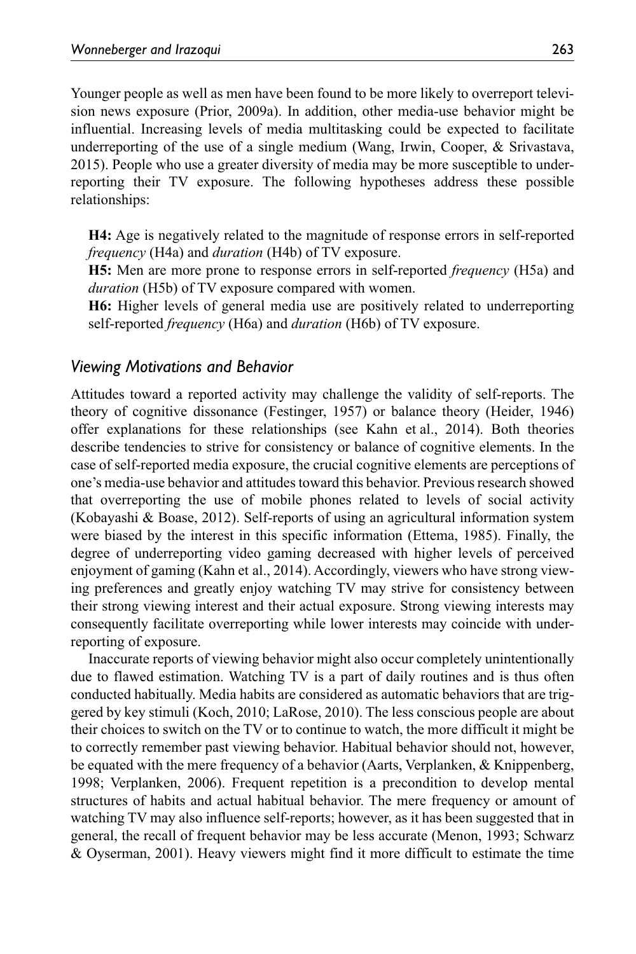Younger people as well as men have been found to be more likely to overreport television news exposure (Prior, 2009a). In addition, other media-use behavior might be influential. Increasing levels of media multitasking could be expected to facilitate underreporting of the use of a single medium (Wang, Irwin, Cooper, & Srivastava, 2015). People who use a greater diversity of media may be more susceptible to underreporting their TV exposure. The following hypotheses address these possible relationships:

**H4:** Age is negatively related to the magnitude of response errors in self-reported *frequency* (H4a) and *duration* (H4b) of TV exposure.

**H5:** Men are more prone to response errors in self-reported *frequency* (H5a) and *duration* (H5b) of TV exposure compared with women.

**H6:** Higher levels of general media use are positively related to underreporting self-reported *frequency* (H6a) and *duration* (H6b) of TV exposure.

#### *Viewing Motivations and Behavior*

Attitudes toward a reported activity may challenge the validity of self-reports. The theory of cognitive dissonance (Festinger, 1957) or balance theory (Heider, 1946) offer explanations for these relationships (see Kahn et al., 2014). Both theories describe tendencies to strive for consistency or balance of cognitive elements. In the case of self-reported media exposure, the crucial cognitive elements are perceptions of one's media-use behavior and attitudes toward this behavior. Previous research showed that overreporting the use of mobile phones related to levels of social activity (Kobayashi & Boase, 2012). Self-reports of using an agricultural information system were biased by the interest in this specific information (Ettema, 1985). Finally, the degree of underreporting video gaming decreased with higher levels of perceived enjoyment of gaming (Kahn et al., 2014). Accordingly, viewers who have strong viewing preferences and greatly enjoy watching TV may strive for consistency between their strong viewing interest and their actual exposure. Strong viewing interests may consequently facilitate overreporting while lower interests may coincide with underreporting of exposure.

Inaccurate reports of viewing behavior might also occur completely unintentionally due to flawed estimation. Watching TV is a part of daily routines and is thus often conducted habitually. Media habits are considered as automatic behaviors that are triggered by key stimuli (Koch, 2010; LaRose, 2010). The less conscious people are about their choices to switch on the TV or to continue to watch, the more difficult it might be to correctly remember past viewing behavior. Habitual behavior should not, however, be equated with the mere frequency of a behavior (Aarts, Verplanken, & Knippenberg, 1998; Verplanken, 2006). Frequent repetition is a precondition to develop mental structures of habits and actual habitual behavior. The mere frequency or amount of watching TV may also influence self-reports; however, as it has been suggested that in general, the recall of frequent behavior may be less accurate (Menon, 1993; Schwarz & Oyserman, 2001). Heavy viewers might find it more difficult to estimate the time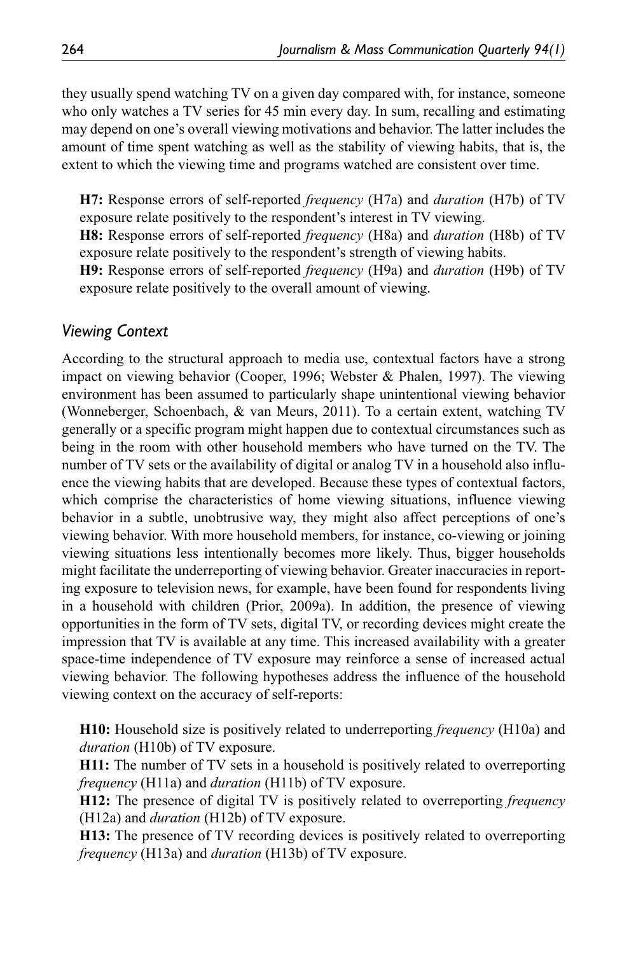they usually spend watching TV on a given day compared with, for instance, someone who only watches a TV series for 45 min every day. In sum, recalling and estimating may depend on one's overall viewing motivations and behavior. The latter includes the amount of time spent watching as well as the stability of viewing habits, that is, the extent to which the viewing time and programs watched are consistent over time.

**H7:** Response errors of self-reported *frequency* (H7a) and *duration* (H7b) of TV exposure relate positively to the respondent's interest in TV viewing. **H8:** Response errors of self-reported *frequency* (H8a) and *duration* (H8b) of TV

exposure relate positively to the respondent's strength of viewing habits.

**H9:** Response errors of self-reported *frequency* (H9a) and *duration* (H9b) of TV exposure relate positively to the overall amount of viewing.

## *Viewing Context*

According to the structural approach to media use, contextual factors have a strong impact on viewing behavior (Cooper, 1996; Webster & Phalen, 1997). The viewing environment has been assumed to particularly shape unintentional viewing behavior (Wonneberger, Schoenbach, & van Meurs, 2011). To a certain extent, watching TV generally or a specific program might happen due to contextual circumstances such as being in the room with other household members who have turned on the TV. The number of TV sets or the availability of digital or analog TV in a household also influence the viewing habits that are developed. Because these types of contextual factors, which comprise the characteristics of home viewing situations, influence viewing behavior in a subtle, unobtrusive way, they might also affect perceptions of one's viewing behavior. With more household members, for instance, co-viewing or joining viewing situations less intentionally becomes more likely. Thus, bigger households might facilitate the underreporting of viewing behavior. Greater inaccuracies in reporting exposure to television news, for example, have been found for respondents living in a household with children (Prior, 2009a). In addition, the presence of viewing opportunities in the form of TV sets, digital TV, or recording devices might create the impression that TV is available at any time. This increased availability with a greater space-time independence of TV exposure may reinforce a sense of increased actual viewing behavior. The following hypotheses address the influence of the household viewing context on the accuracy of self-reports:

**H10:** Household size is positively related to underreporting *frequency* (H10a) and *duration* (H10b) of TV exposure.

**H11:** The number of TV sets in a household is positively related to overreporting *frequency* (H11a) and *duration* (H11b) of TV exposure.

**H12:** The presence of digital TV is positively related to overreporting *frequency* (H12a) and *duration* (H12b) of TV exposure.

**H13:** The presence of TV recording devices is positively related to overreporting *frequency* (H13a) and *duration* (H13b) of TV exposure.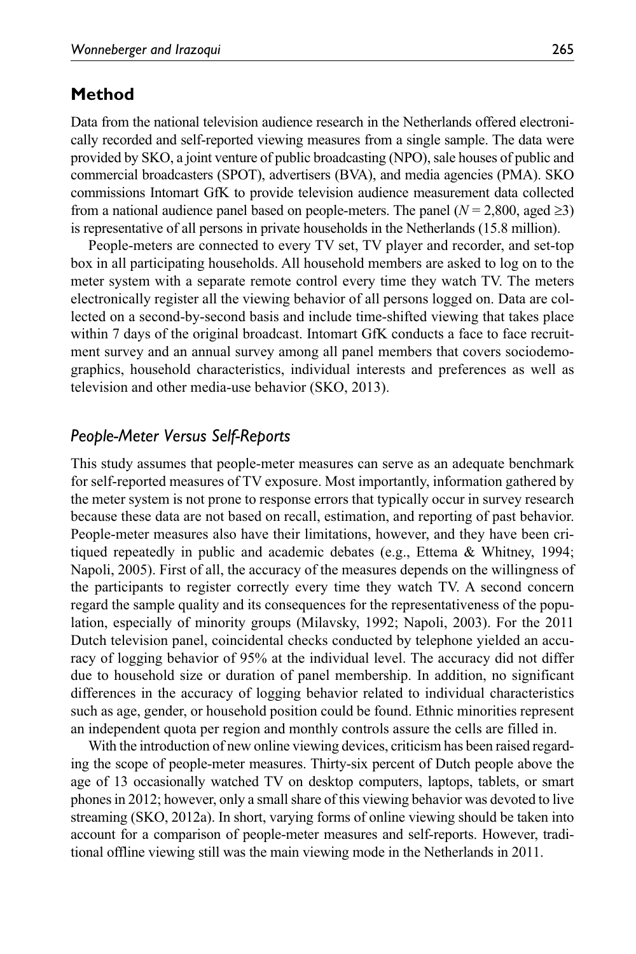### **Method**

Data from the national television audience research in the Netherlands offered electronically recorded and self-reported viewing measures from a single sample. The data were provided by SKO, a joint venture of public broadcasting (NPO), sale houses of public and commercial broadcasters (SPOT), advertisers (BVA), and media agencies (PMA). SKO commissions Intomart GfK to provide television audience measurement data collected from a national audience panel based on people-meters. The panel ( $N = 2,800$ , aged  $\geq 3$ ) is representative of all persons in private households in the Netherlands (15.8 million).

People-meters are connected to every TV set, TV player and recorder, and set-top box in all participating households. All household members are asked to log on to the meter system with a separate remote control every time they watch TV. The meters electronically register all the viewing behavior of all persons logged on. Data are collected on a second-by-second basis and include time-shifted viewing that takes place within 7 days of the original broadcast. Intomart GfK conducts a face to face recruitment survey and an annual survey among all panel members that covers sociodemographics, household characteristics, individual interests and preferences as well as television and other media-use behavior (SKO, 2013).

#### *People-Meter Versus Self-Reports*

This study assumes that people-meter measures can serve as an adequate benchmark for self-reported measures of TV exposure. Most importantly, information gathered by the meter system is not prone to response errors that typically occur in survey research because these data are not based on recall, estimation, and reporting of past behavior. People-meter measures also have their limitations, however, and they have been critiqued repeatedly in public and academic debates (e.g., Ettema & Whitney, 1994; Napoli, 2005). First of all, the accuracy of the measures depends on the willingness of the participants to register correctly every time they watch TV. A second concern regard the sample quality and its consequences for the representativeness of the population, especially of minority groups (Milavsky, 1992; Napoli, 2003). For the 2011 Dutch television panel, coincidental checks conducted by telephone yielded an accuracy of logging behavior of 95% at the individual level. The accuracy did not differ due to household size or duration of panel membership. In addition, no significant differences in the accuracy of logging behavior related to individual characteristics such as age, gender, or household position could be found. Ethnic minorities represent an independent quota per region and monthly controls assure the cells are filled in.

With the introduction of new online viewing devices, criticism has been raised regarding the scope of people-meter measures. Thirty-six percent of Dutch people above the age of 13 occasionally watched TV on desktop computers, laptops, tablets, or smart phones in 2012; however, only a small share of this viewing behavior was devoted to live streaming (SKO, 2012a). In short, varying forms of online viewing should be taken into account for a comparison of people-meter measures and self-reports. However, traditional offline viewing still was the main viewing mode in the Netherlands in 2011.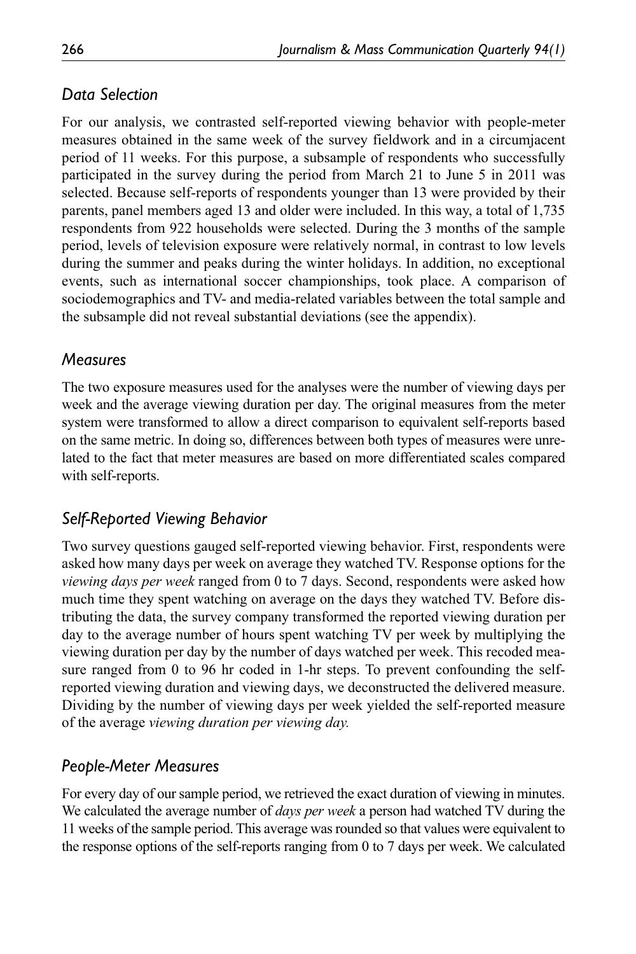## *Data Selection*

For our analysis, we contrasted self-reported viewing behavior with people-meter measures obtained in the same week of the survey fieldwork and in a circumjacent period of 11 weeks. For this purpose, a subsample of respondents who successfully participated in the survey during the period from March 21 to June 5 in 2011 was selected. Because self-reports of respondents younger than 13 were provided by their parents, panel members aged 13 and older were included. In this way, a total of 1,735 respondents from 922 households were selected. During the 3 months of the sample period, levels of television exposure were relatively normal, in contrast to low levels during the summer and peaks during the winter holidays. In addition, no exceptional events, such as international soccer championships, took place. A comparison of sociodemographics and TV- and media-related variables between the total sample and the subsample did not reveal substantial deviations (see the appendix).

## *Measures*

The two exposure measures used for the analyses were the number of viewing days per week and the average viewing duration per day. The original measures from the meter system were transformed to allow a direct comparison to equivalent self-reports based on the same metric. In doing so, differences between both types of measures were unrelated to the fact that meter measures are based on more differentiated scales compared with self-reports.

# *Self-Reported Viewing Behavior*

Two survey questions gauged self-reported viewing behavior. First, respondents were asked how many days per week on average they watched TV. Response options for the *viewing days per week* ranged from 0 to 7 days. Second, respondents were asked how much time they spent watching on average on the days they watched TV. Before distributing the data, the survey company transformed the reported viewing duration per day to the average number of hours spent watching TV per week by multiplying the viewing duration per day by the number of days watched per week. This recoded measure ranged from 0 to 96 hr coded in 1-hr steps. To prevent confounding the selfreported viewing duration and viewing days, we deconstructed the delivered measure. Dividing by the number of viewing days per week yielded the self-reported measure of the average *viewing duration per viewing day.*

# *People-Meter Measures*

For every day of our sample period, we retrieved the exact duration of viewing in minutes. We calculated the average number of *days per week* a person had watched TV during the 11 weeks of the sample period. This average was rounded so that values were equivalent to the response options of the self-reports ranging from 0 to 7 days per week. We calculated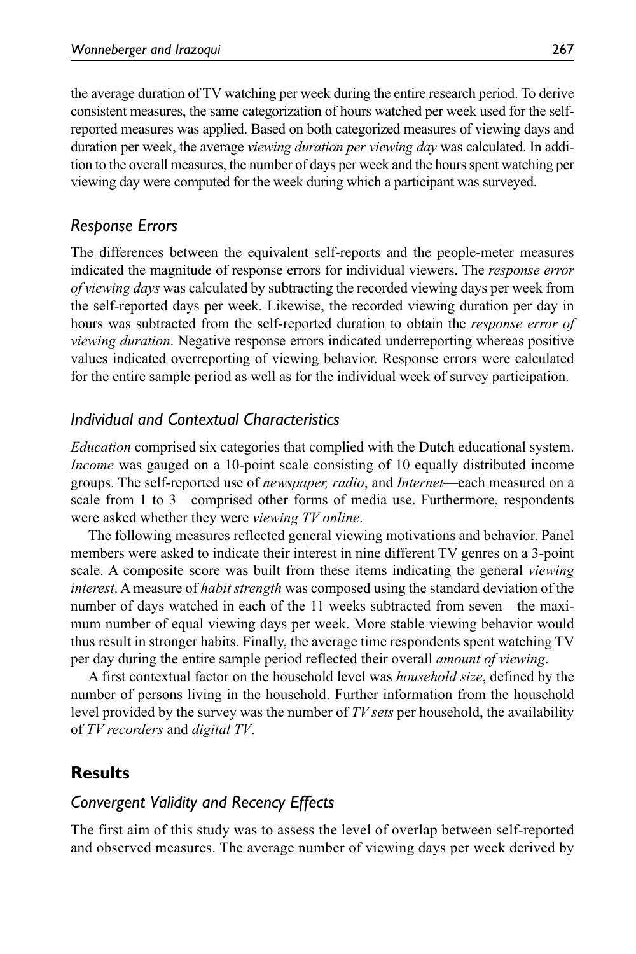the average duration of TV watching per week during the entire research period. To derive consistent measures, the same categorization of hours watched per week used for the selfreported measures was applied. Based on both categorized measures of viewing days and duration per week, the average *viewing duration per viewing day* was calculated. In addition to the overall measures, the number of days per week and the hours spent watching per viewing day were computed for the week during which a participant was surveyed.

### *Response Errors*

The differences between the equivalent self-reports and the people-meter measures indicated the magnitude of response errors for individual viewers. The *response error of viewing days* was calculated by subtracting the recorded viewing days per week from the self-reported days per week. Likewise, the recorded viewing duration per day in hours was subtracted from the self-reported duration to obtain the *response error of viewing duration*. Negative response errors indicated underreporting whereas positive values indicated overreporting of viewing behavior. Response errors were calculated for the entire sample period as well as for the individual week of survey participation.

### *Individual and Contextual Characteristics*

*Education* comprised six categories that complied with the Dutch educational system. *Income* was gauged on a 10-point scale consisting of 10 equally distributed income groups. The self-reported use of *newspaper, radio*, and *Internet*—each measured on a scale from 1 to 3—comprised other forms of media use. Furthermore, respondents were asked whether they were *viewing TV online*.

The following measures reflected general viewing motivations and behavior. Panel members were asked to indicate their interest in nine different TV genres on a 3-point scale. A composite score was built from these items indicating the general *viewing interest*. A measure of *habit strength* was composed using the standard deviation of the number of days watched in each of the 11 weeks subtracted from seven—the maximum number of equal viewing days per week. More stable viewing behavior would thus result in stronger habits. Finally, the average time respondents spent watching TV per day during the entire sample period reflected their overall *amount of viewing*.

A first contextual factor on the household level was *household size*, defined by the number of persons living in the household. Further information from the household level provided by the survey was the number of *TV sets* per household, the availability of *TV recorders* and *digital TV*.

## **Results**

### *Convergent Validity and Recency Effects*

The first aim of this study was to assess the level of overlap between self-reported and observed measures. The average number of viewing days per week derived by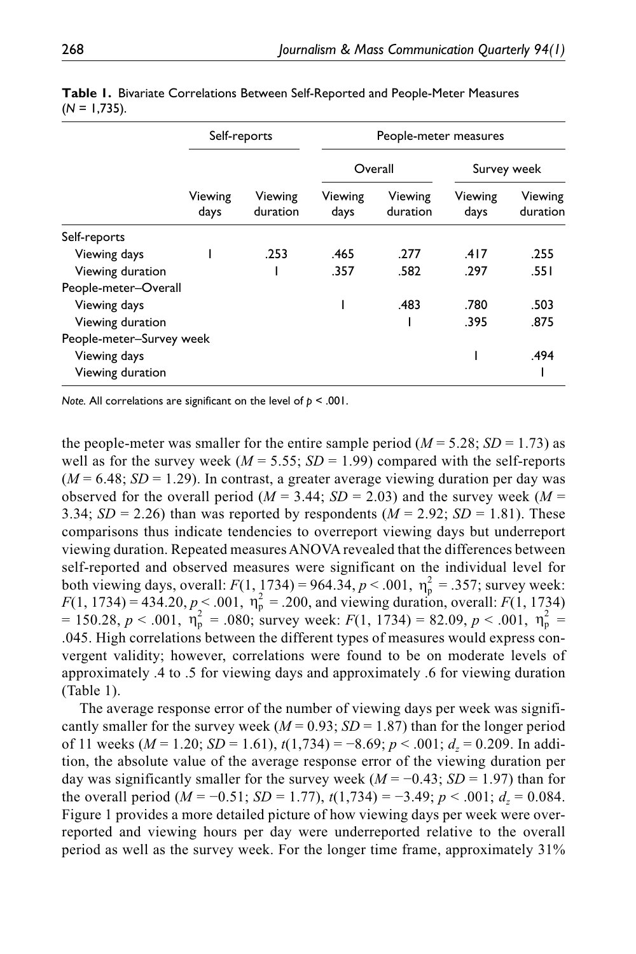|                          | Self-reports    |                     | People-meter measures |                     |                 |                     |
|--------------------------|-----------------|---------------------|-----------------------|---------------------|-----------------|---------------------|
|                          |                 |                     | Overall               |                     | Survey week     |                     |
|                          | Viewing<br>days | Viewing<br>duration | Viewing<br>days       | Viewing<br>duration | Viewing<br>days | Viewing<br>duration |
| Self-reports             |                 |                     |                       |                     |                 |                     |
| Viewing days             |                 | .253                | .465                  | .277                | .417            | .255                |
| Viewing duration         |                 |                     | .357                  | .582                | .297            | .551                |
| People-meter-Overall     |                 |                     |                       |                     |                 |                     |
| Viewing days             |                 |                     |                       | .483                | .780            | .503                |
| Viewing duration         |                 |                     |                       |                     | .395            | .875                |
| People-meter-Survey week |                 |                     |                       |                     |                 |                     |
| Viewing days             |                 |                     |                       |                     |                 | .494                |
| Viewing duration         |                 |                     |                       |                     |                 |                     |

**Table 1.** Bivariate Correlations Between Self-Reported and People-Meter Measures (*N* = 1,735).

*Note.* All correlations are significant on the level of *p* < .001.

the people-meter was smaller for the entire sample period  $(M = 5.28; SD = 1.73)$  as well as for the survey week ( $M = 5.55$ ;  $SD = 1.99$ ) compared with the self-reports  $(M = 6.48; SD = 1.29)$ . In contrast, a greater average viewing duration per day was observed for the overall period ( $M = 3.44$ ;  $SD = 2.03$ ) and the survey week ( $M =$ 3.34;  $SD = 2.26$ ) than was reported by respondents ( $M = 2.92$ ;  $SD = 1.81$ ). These comparisons thus indicate tendencies to overreport viewing days but underreport viewing duration. Repeated measures ANOVA revealed that the differences between self-reported and observed measures were significant on the individual level for both viewing days, overall:  $F(1, 1734) = 964.34, p < .001, \eta_p^2 = .357$ ; survey week:  $F(1, 1734) = 434.20, p < .001, \eta_p^2 = .200$ , and viewing duration, overall:  $F(1, 1734)$  $= 150.28, p < .001, \eta_p^2 = .080$ ; survey week:  $F(1, 1734) = 82.09, p < .001, \eta_p^2 =$ .045. High correlations between the different types of measures would express convergent validity; however, correlations were found to be on moderate levels of approximately .4 to .5 for viewing days and approximately .6 for viewing duration (Table 1).

The average response error of the number of viewing days per week was significantly smaller for the survey week ( $M = 0.93$ ;  $SD = 1.87$ ) than for the longer period of 11 weeks ( $M = 1.20$ ;  $SD = 1.61$ ),  $t(1,734) = -8.69$ ;  $p < .001$ ;  $d_z = 0.209$ . In addition, the absolute value of the average response error of the viewing duration per day was significantly smaller for the survey week  $(M = -0.43; SD = 1.97)$  than for the overall period ( $M = -0.51$ ;  $SD = 1.77$ ),  $t(1,734) = -3.49$ ;  $p < .001$ ;  $d_z = 0.084$ . Figure 1 provides a more detailed picture of how viewing days per week were overreported and viewing hours per day were underreported relative to the overall period as well as the survey week. For the longer time frame, approximately 31%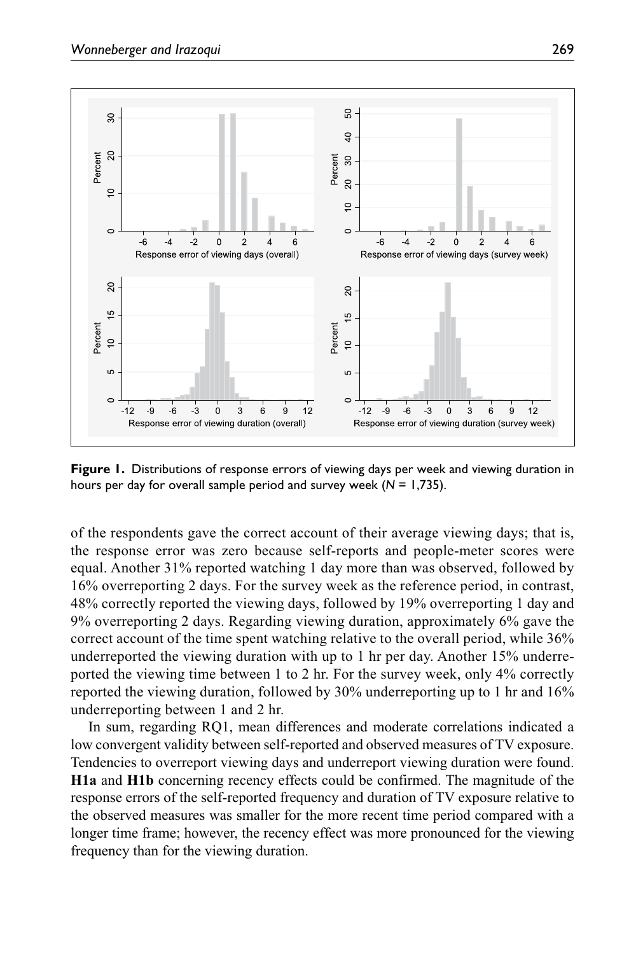

**Figure 1.** Distributions of response errors of viewing days per week and viewing duration in hours per day for overall sample period and survey week (*N* = 1,735).

of the respondents gave the correct account of their average viewing days; that is, the response error was zero because self-reports and people-meter scores were equal. Another 31% reported watching 1 day more than was observed, followed by 16% overreporting 2 days. For the survey week as the reference period, in contrast, 48% correctly reported the viewing days, followed by 19% overreporting 1 day and 9% overreporting 2 days. Regarding viewing duration, approximately 6% gave the correct account of the time spent watching relative to the overall period, while 36% underreported the viewing duration with up to 1 hr per day. Another 15% underreported the viewing time between 1 to 2 hr. For the survey week, only 4% correctly reported the viewing duration, followed by 30% underreporting up to 1 hr and 16% underreporting between 1 and 2 hr.

In sum, regarding RQ1, mean differences and moderate correlations indicated a low convergent validity between self-reported and observed measures of TV exposure. Tendencies to overreport viewing days and underreport viewing duration were found. **H1a** and **H1b** concerning recency effects could be confirmed. The magnitude of the response errors of the self-reported frequency and duration of TV exposure relative to the observed measures was smaller for the more recent time period compared with a longer time frame; however, the recency effect was more pronounced for the viewing frequency than for the viewing duration.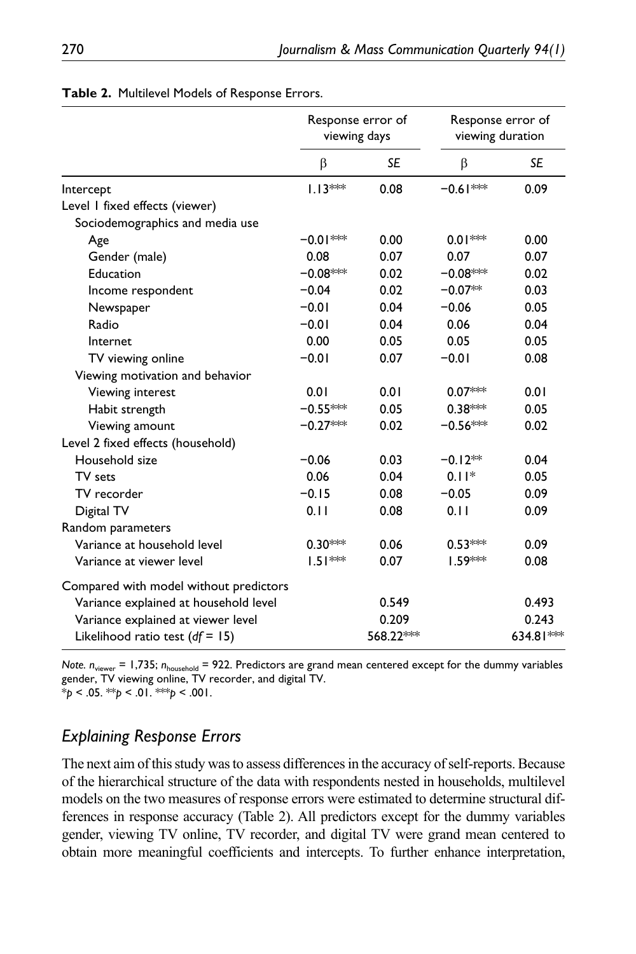|                                        | Response error of<br>viewing days |            | Response error of<br>viewing duration |           |
|----------------------------------------|-----------------------------------|------------|---------------------------------------|-----------|
|                                        | β                                 | <b>SE</b>  | β                                     | <b>SE</b> |
| Intercept                              | $1.13***$                         | 0.08       | $-0.61***$                            | 0.09      |
| Level I fixed effects (viewer)         |                                   |            |                                       |           |
| Sociodemographics and media use        |                                   |            |                                       |           |
| Age                                    | $-0.01***$                        | 0.00       | $0.01***$                             | 0.00      |
| Gender (male)                          | 0.08                              | 0.07       | 0.07                                  | 0.07      |
| Education                              | $-0.08***$                        | 0.02       | $-0.08***$                            | 0.02      |
| Income respondent                      | $-0.04$                           | 0.02       | $-0.07**$                             | 0.03      |
| Newspaper                              | $-0.01$                           | 0.04       | $-0.06$                               | 0.05      |
| Radio                                  | $-0.01$                           | 0.04       | 0.06                                  | 0.04      |
| Internet                               | 0.00                              | 0.05       | 0.05                                  | 0.05      |
| TV viewing online                      | $-0.01$                           | 0.07       | $-0.01$                               | 0.08      |
| Viewing motivation and behavior        |                                   |            |                                       |           |
| Viewing interest                       | 0.01                              | 0.01       | $0.07***$                             | 0.01      |
| Habit strength                         | $-0.55***$                        | 0.05       | $0.38***$                             | 0.05      |
| Viewing amount                         | $-0.27***$                        | 0.02       | $-0.56***$                            | 0.02      |
| Level 2 fixed effects (household)      |                                   |            |                                       |           |
| Household size                         | $-0.06$                           | 0.03       | $-0.12**$                             | 0.04      |
| TV sets                                | 0.06                              | 0.04       | $0.11*$                               | 0.05      |
| TV recorder                            | $-0.15$                           | 0.08       | $-0.05$                               | 0.09      |
| Digital TV                             | 0.11                              | 0.08       | 0.11                                  | 0.09      |
| Random parameters                      |                                   |            |                                       |           |
| Variance at household level            | $0.30***$                         | 0.06       | $0.53***$                             | 0.09      |
| Variance at viewer level               | $1.51***$                         | 0.07       | $1.59***$                             | 0.08      |
| Compared with model without predictors |                                   |            |                                       |           |
| Variance explained at household level  |                                   | 0.549      |                                       | 0.493     |
| Variance explained at viewer level     |                                   | 0.209      |                                       | 0.243     |
| Likelihood ratio test $(df = 15)$      |                                   | 568.22 *** |                                       | 634.81*** |

| Table 2. Multilevel Models of Response Errors. |  |  |  |  |
|------------------------------------------------|--|--|--|--|
|------------------------------------------------|--|--|--|--|

*Note.*  $n_{viewer}$  = 1,735;  $n_{household}$  = 922. Predictors are grand mean centered except for the dummy variables gender, TV viewing online, TV recorder, and digital TV. \**p* < .05. \*\**p* < .01. \*\*\**p* < .001.

# *Explaining Response Errors*

The next aim of this study was to assess differences in the accuracy of self-reports. Because of the hierarchical structure of the data with respondents nested in households, multilevel models on the two measures of response errors were estimated to determine structural differences in response accuracy (Table 2). All predictors except for the dummy variables gender, viewing TV online, TV recorder, and digital TV were grand mean centered to obtain more meaningful coefficients and intercepts. To further enhance interpretation,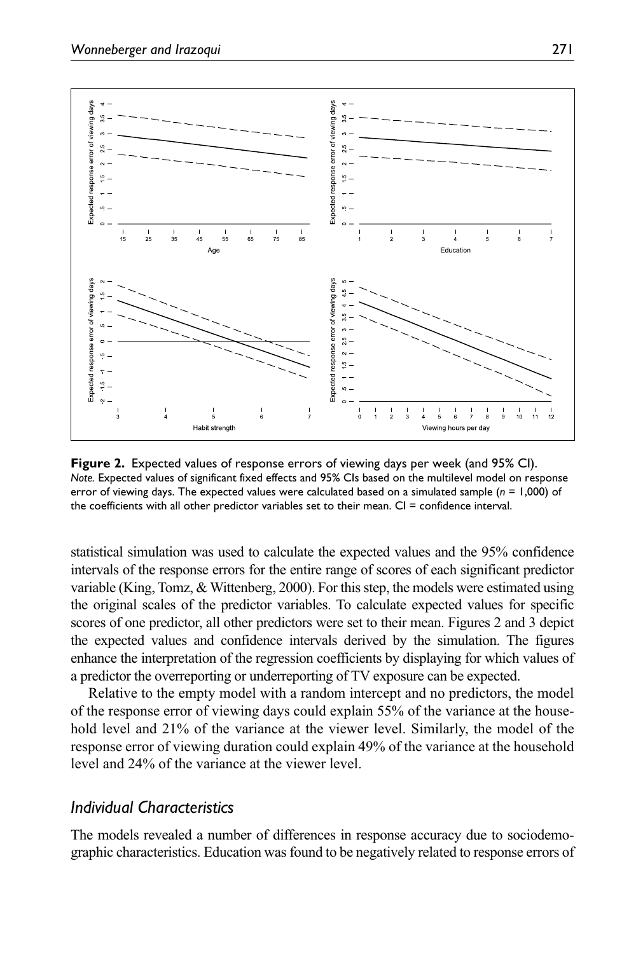

**Figure 2.** Expected values of response errors of viewing days per week (and 95% CI). *Note.* Expected values of significant fixed effects and 95% CIs based on the multilevel model on response error of viewing days. The expected values were calculated based on a simulated sample (*n* = 1,000) of the coefficients with all other predictor variables set to their mean. CI = confidence interval.

statistical simulation was used to calculate the expected values and the 95% confidence intervals of the response errors for the entire range of scores of each significant predictor variable (King, Tomz, & Wittenberg, 2000). For this step, the models were estimated using the original scales of the predictor variables. To calculate expected values for specific scores of one predictor, all other predictors were set to their mean. Figures 2 and 3 depict the expected values and confidence intervals derived by the simulation. The figures enhance the interpretation of the regression coefficients by displaying for which values of a predictor the overreporting or underreporting of TV exposure can be expected.

Relative to the empty model with a random intercept and no predictors, the model of the response error of viewing days could explain 55% of the variance at the household level and 21% of the variance at the viewer level. Similarly, the model of the response error of viewing duration could explain 49% of the variance at the household level and 24% of the variance at the viewer level.

#### *Individual Characteristics*

The models revealed a number of differences in response accuracy due to sociodemographic characteristics. Education was found to be negatively related to response errors of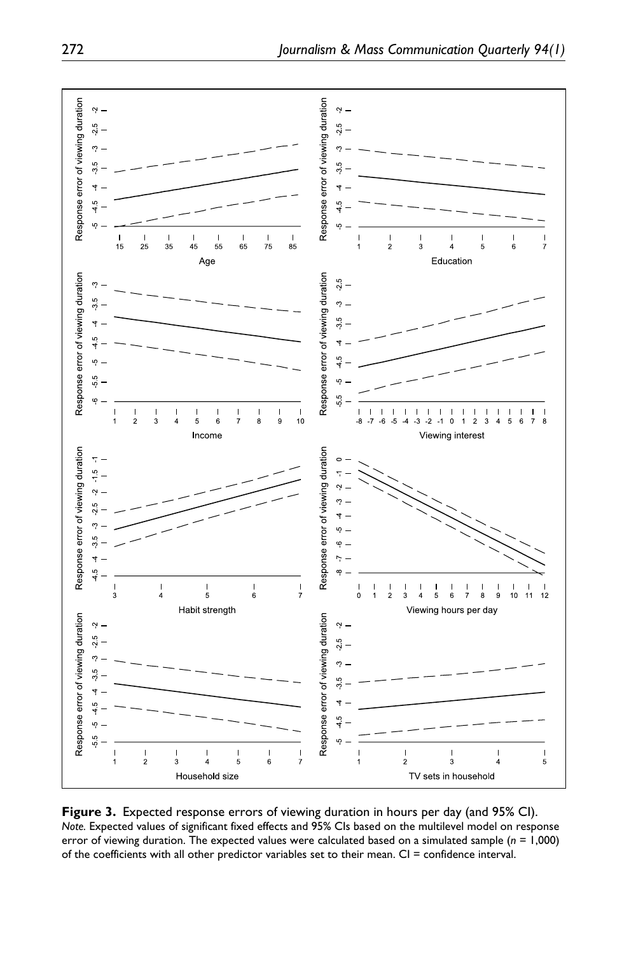

**Figure 3.** Expected response errors of viewing duration in hours per day (and 95% CI). *Note.* Expected values of significant fixed effects and 95% CIs based on the multilevel model on response error of viewing duration. The expected values were calculated based on a simulated sample (*n* = 1,000) of the coefficients with all other predictor variables set to their mean. CI = confidence interval.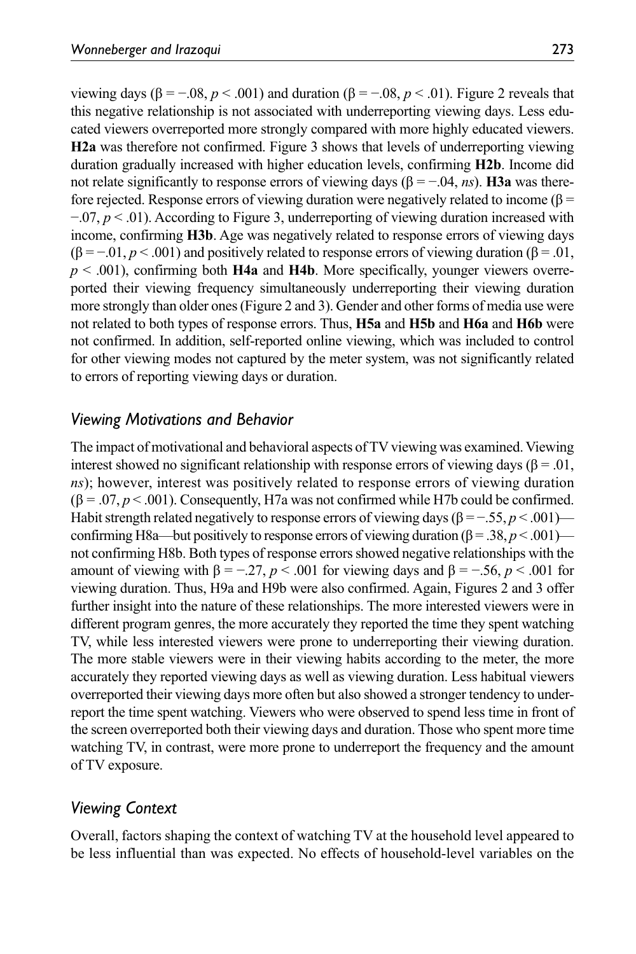viewing days ( $\beta = -.08$ ,  $p < .001$ ) and duration ( $\beta = -.08$ ,  $p < .01$ ). Figure 2 reveals that this negative relationship is not associated with underreporting viewing days. Less educated viewers overreported more strongly compared with more highly educated viewers. **H2a** was therefore not confirmed. Figure 3 shows that levels of underreporting viewing duration gradually increased with higher education levels, confirming **H2b**. Income did not relate significantly to response errors of viewing days (β =  $-0.04$ , *ns*). **H3a** was therefore rejected. Response errors of viewing duration were negatively related to income ( $\beta$  = −.07, *p* < .01). According to Figure 3, underreporting of viewing duration increased with income, confirming **H3b**. Age was negatively related to response errors of viewing days  $(\beta = -0.01, p < .001)$  and positively related to response errors of viewing duration ( $\beta = .01$ , *p* < .001), confirming both **H4a** and **H4b**. More specifically, younger viewers overreported their viewing frequency simultaneously underreporting their viewing duration more strongly than older ones (Figure 2 and 3). Gender and other forms of media use were not related to both types of response errors. Thus, **H5a** and **H5b** and **H6a** and **H6b** were not confirmed. In addition, self-reported online viewing, which was included to control for other viewing modes not captured by the meter system, was not significantly related to errors of reporting viewing days or duration.

### *Viewing Motivations and Behavior*

The impact of motivational and behavioral aspects of TV viewing was examined. Viewing interest showed no significant relationship with response errors of viewing days  $(\beta = .01)$ , *ns*); however, interest was positively related to response errors of viewing duration  $(\beta = .07, p < .001)$ . Consequently, H7a was not confirmed while H7b could be confirmed. Habit strength related negatively to response errors of viewing days ( $\beta = -0.55$ ,  $p < 0.001$ ) confirming H8a—but positively to response errors of viewing duration  $(\beta = .38, p < .001)$  not confirming H8b. Both types of response errors showed negative relationships with the amount of viewing with  $β = -.27, p < .001$  for viewing days and  $β = -.56, p < .001$  for viewing duration. Thus, H9a and H9b were also confirmed. Again, Figures 2 and 3 offer further insight into the nature of these relationships. The more interested viewers were in different program genres, the more accurately they reported the time they spent watching TV, while less interested viewers were prone to underreporting their viewing duration. The more stable viewers were in their viewing habits according to the meter, the more accurately they reported viewing days as well as viewing duration. Less habitual viewers overreported their viewing days more often but also showed a stronger tendency to underreport the time spent watching. Viewers who were observed to spend less time in front of the screen overreported both their viewing days and duration. Those who spent more time watching TV, in contrast, were more prone to underreport the frequency and the amount of TV exposure.

## *Viewing Context*

Overall, factors shaping the context of watching TV at the household level appeared to be less influential than was expected. No effects of household-level variables on the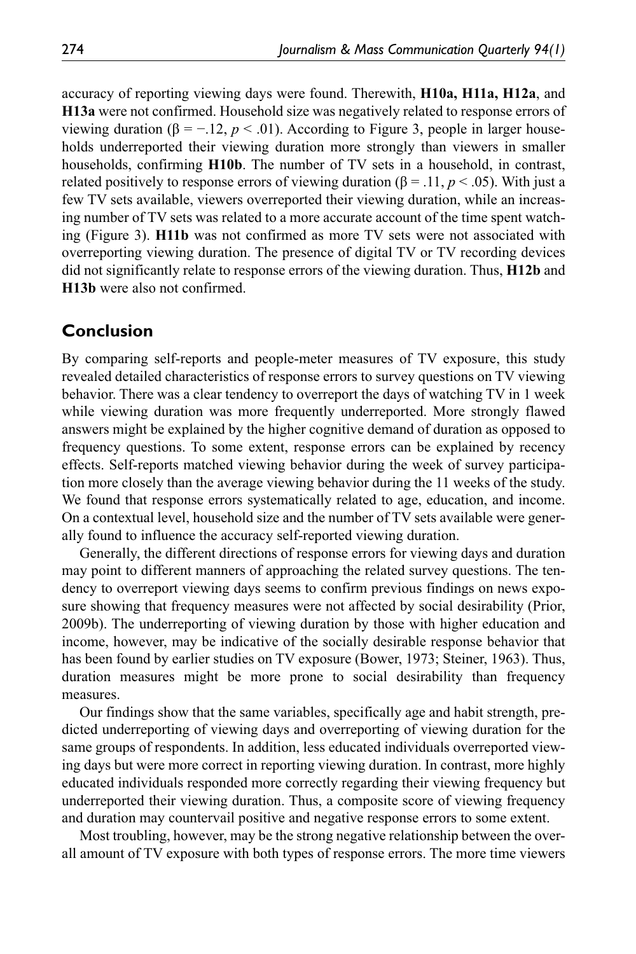accuracy of reporting viewing days were found. Therewith, **H10a, H11a, H12a**, and **H13a** were not confirmed. Household size was negatively related to response errors of viewing duration (β = −.12,  $p$  < .01). According to Figure 3, people in larger households underreported their viewing duration more strongly than viewers in smaller households, confirming **H10b**. The number of TV sets in a household, in contrast, related positively to response errors of viewing duration ( $\beta$  = .11, *p* < .05). With just a few TV sets available, viewers overreported their viewing duration, while an increasing number of TV sets was related to a more accurate account of the time spent watching (Figure 3). **H11b** was not confirmed as more TV sets were not associated with overreporting viewing duration. The presence of digital TV or TV recording devices did not significantly relate to response errors of the viewing duration. Thus, **H12b** and **H13b** were also not confirmed.

### **Conclusion**

By comparing self-reports and people-meter measures of TV exposure, this study revealed detailed characteristics of response errors to survey questions on TV viewing behavior. There was a clear tendency to overreport the days of watching TV in 1 week while viewing duration was more frequently underreported. More strongly flawed answers might be explained by the higher cognitive demand of duration as opposed to frequency questions. To some extent, response errors can be explained by recency effects. Self-reports matched viewing behavior during the week of survey participation more closely than the average viewing behavior during the 11 weeks of the study. We found that response errors systematically related to age, education, and income. On a contextual level, household size and the number of TV sets available were generally found to influence the accuracy self-reported viewing duration.

Generally, the different directions of response errors for viewing days and duration may point to different manners of approaching the related survey questions. The tendency to overreport viewing days seems to confirm previous findings on news exposure showing that frequency measures were not affected by social desirability (Prior, 2009b). The underreporting of viewing duration by those with higher education and income, however, may be indicative of the socially desirable response behavior that has been found by earlier studies on TV exposure (Bower, 1973; Steiner, 1963). Thus, duration measures might be more prone to social desirability than frequency measures.

Our findings show that the same variables, specifically age and habit strength, predicted underreporting of viewing days and overreporting of viewing duration for the same groups of respondents. In addition, less educated individuals overreported viewing days but were more correct in reporting viewing duration. In contrast, more highly educated individuals responded more correctly regarding their viewing frequency but underreported their viewing duration. Thus, a composite score of viewing frequency and duration may countervail positive and negative response errors to some extent.

Most troubling, however, may be the strong negative relationship between the overall amount of TV exposure with both types of response errors. The more time viewers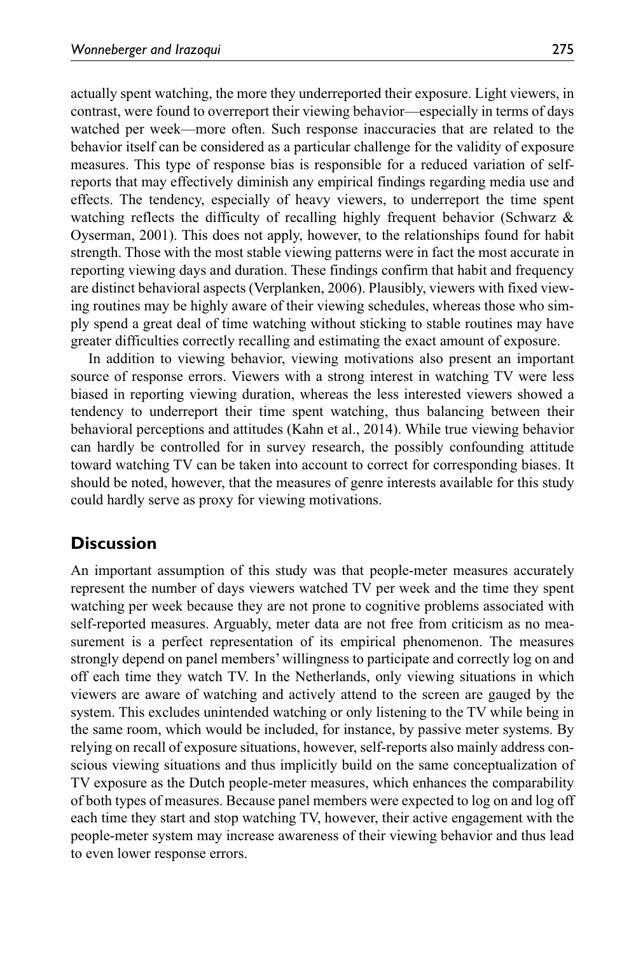actually spent watching, the more they underreported their exposure. Light viewers, in contrast, were found to overreport their viewing behavior—especially in terms of days watched per week—more often. Such response inaccuracies that are related to the behavior itself can be considered as a particular challenge for the validity of exposure measures. This type of response bias is responsible for a reduced variation of selfreports that may effectively diminish any empirical findings regarding media use and effects. The tendency, especially of heavy viewers, to underreport the time spent watching reflects the difficulty of recalling highly frequent behavior (Schwarz & Oyserman, 2001). This does not apply, however, to the relationships found for habit strength. Those with the most stable viewing patterns were in fact the most accurate in reporting viewing days and duration. These findings confirm that habit and frequency are distinct behavioral aspects (Verplanken, 2006). Plausibly, viewers with fixed viewing routines may be highly aware of their viewing schedules, whereas those who simply spend a great deal of time watching without sticking to stable routines may have greater difficulties correctly recalling and estimating the exact amount of exposure.

In addition to viewing behavior, viewing motivations also present an important source of response errors. Viewers with a strong interest in watching TV were less biased in reporting viewing duration, whereas the less interested viewers showed a tendency to underreport their time spent watching, thus balancing between their behavioral perceptions and attitudes (Kahn et al., 2014). While true viewing behavior can hardly be controlled for in survey research, the possibly confounding attitude toward watching TV can be taken into account to correct for corresponding biases. It should be noted, however, that the measures of genre interests available for this study could hardly serve as proxy for viewing motivations.

## **Discussion**

An important assumption of this study was that people-meter measures accurately represent the number of days viewers watched TV per week and the time they spent watching per week because they are not prone to cognitive problems associated with self-reported measures. Arguably, meter data are not free from criticism as no measurement is a perfect representation of its empirical phenomenon. The measures strongly depend on panel members' willingness to participate and correctly log on and off each time they watch TV. In the Netherlands, only viewing situations in which viewers are aware of watching and actively attend to the screen are gauged by the system. This excludes unintended watching or only listening to the TV while being in the same room, which would be included, for instance, by passive meter systems. By relying on recall of exposure situations, however, self-reports also mainly address conscious viewing situations and thus implicitly build on the same conceptualization of TV exposure as the Dutch people-meter measures, which enhances the comparability of both types of measures. Because panel members were expected to log on and log off each time they start and stop watching TV, however, their active engagement with the people-meter system may increase awareness of their viewing behavior and thus lead to even lower response errors.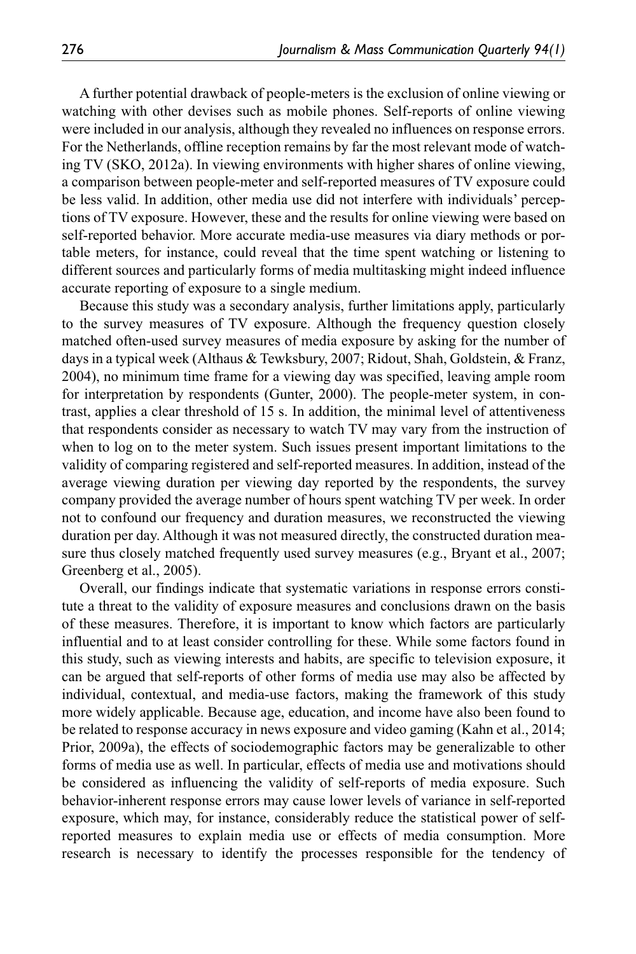A further potential drawback of people-meters is the exclusion of online viewing or watching with other devises such as mobile phones. Self-reports of online viewing were included in our analysis, although they revealed no influences on response errors. For the Netherlands, offline reception remains by far the most relevant mode of watching TV (SKO, 2012a). In viewing environments with higher shares of online viewing, a comparison between people-meter and self-reported measures of TV exposure could be less valid. In addition, other media use did not interfere with individuals' perceptions of TV exposure. However, these and the results for online viewing were based on self-reported behavior. More accurate media-use measures via diary methods or portable meters, for instance, could reveal that the time spent watching or listening to different sources and particularly forms of media multitasking might indeed influence accurate reporting of exposure to a single medium.

Because this study was a secondary analysis, further limitations apply, particularly to the survey measures of TV exposure. Although the frequency question closely matched often-used survey measures of media exposure by asking for the number of days in a typical week (Althaus & Tewksbury, 2007; Ridout, Shah, Goldstein, & Franz, 2004), no minimum time frame for a viewing day was specified, leaving ample room for interpretation by respondents (Gunter, 2000). The people-meter system, in contrast, applies a clear threshold of 15 s. In addition, the minimal level of attentiveness that respondents consider as necessary to watch TV may vary from the instruction of when to log on to the meter system. Such issues present important limitations to the validity of comparing registered and self-reported measures. In addition, instead of the average viewing duration per viewing day reported by the respondents, the survey company provided the average number of hours spent watching TV per week. In order not to confound our frequency and duration measures, we reconstructed the viewing duration per day. Although it was not measured directly, the constructed duration measure thus closely matched frequently used survey measures (e.g., Bryant et al., 2007; Greenberg et al., 2005).

Overall, our findings indicate that systematic variations in response errors constitute a threat to the validity of exposure measures and conclusions drawn on the basis of these measures. Therefore, it is important to know which factors are particularly influential and to at least consider controlling for these. While some factors found in this study, such as viewing interests and habits, are specific to television exposure, it can be argued that self-reports of other forms of media use may also be affected by individual, contextual, and media-use factors, making the framework of this study more widely applicable. Because age, education, and income have also been found to be related to response accuracy in news exposure and video gaming (Kahn et al., 2014; Prior, 2009a), the effects of sociodemographic factors may be generalizable to other forms of media use as well. In particular, effects of media use and motivations should be considered as influencing the validity of self-reports of media exposure. Such behavior-inherent response errors may cause lower levels of variance in self-reported exposure, which may, for instance, considerably reduce the statistical power of selfreported measures to explain media use or effects of media consumption. More research is necessary to identify the processes responsible for the tendency of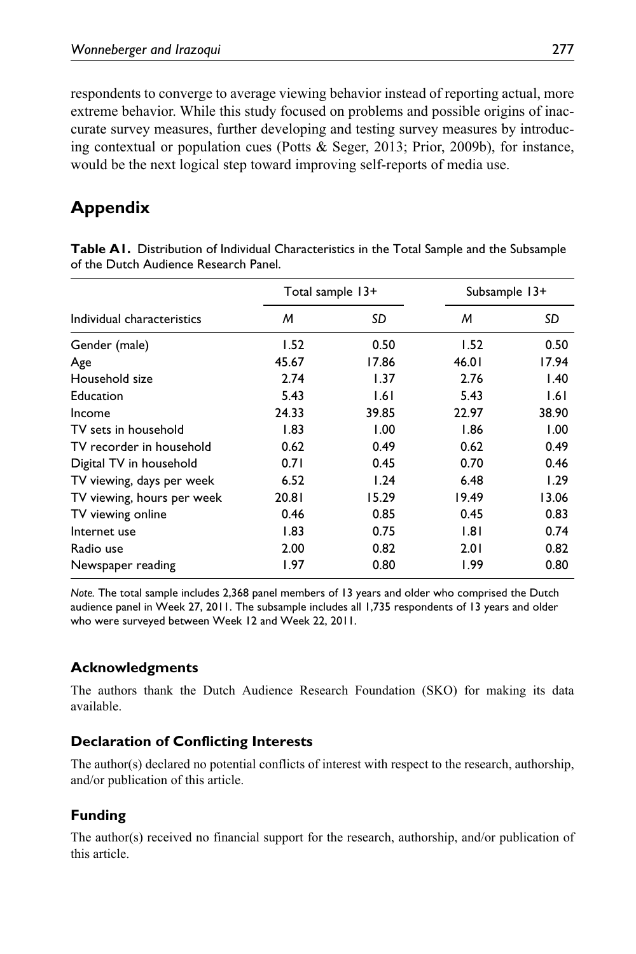respondents to converge to average viewing behavior instead of reporting actual, more extreme behavior. While this study focused on problems and possible origins of inaccurate survey measures, further developing and testing survey measures by introducing contextual or population cues (Potts & Seger, 2013; Prior, 2009b), for instance, would be the next logical step toward improving self-reports of media use.

# **Appendix**

|                            | Total sample 13+ |       | Subsample 13+ |       |
|----------------------------|------------------|-------|---------------|-------|
| Individual characteristics | M                | SD    | M             | SD    |
| Gender (male)              | 1.52             | 0.50  | 1.52          | 0.50  |
| Age                        | 45.67            | 17.86 | 46.01         | 17.94 |
| Household size             | 2.74             | 1.37  | 2.76          | 1.40  |
| Education                  | 5.43             | 1.61  | 5.43          | 1.61  |
| Income                     | 24.33            | 39.85 | 22.97         | 38.90 |
| TV sets in household       | 1.83             | 1.00  | 1.86          | 1.00  |
| TV recorder in household   | 0.62             | 0.49  | 0.62          | 0.49  |
| Digital TV in household    | 0.71             | 0.45  | 0.70          | 0.46  |
| TV viewing, days per week  | 6.52             | 1.24  | 6.48          | 1.29  |
| TV viewing, hours per week | 20.81            | 15.29 | 19.49         | 13.06 |
| TV viewing online          | 0.46             | 0.85  | 0.45          | 0.83  |
| Internet use               | 1.83             | 0.75  | 1.81          | 0.74  |
| Radio use                  | 2.00             | 0.82  | 2.01          | 0.82  |
| Newspaper reading          | 1.97             | 0.80  | 1.99          | 0.80  |

**Table A1.** Distribution of Individual Characteristics in the Total Sample and the Subsample of the Dutch Audience Research Panel.

*Note.* The total sample includes 2,368 panel members of 13 years and older who comprised the Dutch audience panel in Week 27, 2011. The subsample includes all 1,735 respondents of 13 years and older who were surveyed between Week 12 and Week 22, 2011.

### **Acknowledgments**

The authors thank the Dutch Audience Research Foundation (SKO) for making its data available.

### **Declaration of Conflicting Interests**

The author(s) declared no potential conflicts of interest with respect to the research, authorship, and/or publication of this article.

## **Funding**

The author(s) received no financial support for the research, authorship, and/or publication of this article.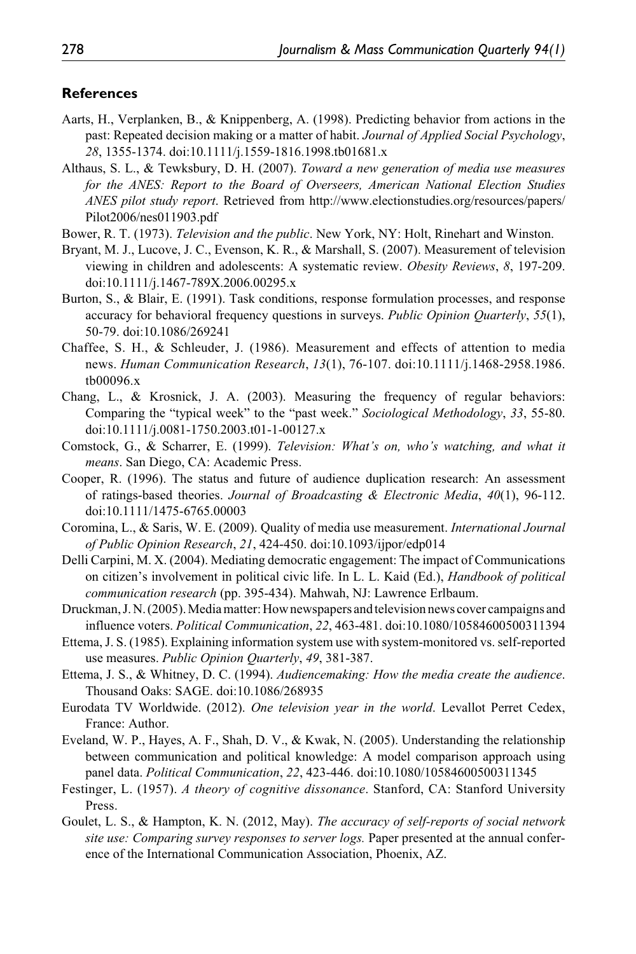#### **References**

- Aarts, H., Verplanken, B., & Knippenberg, A. (1998). Predicting behavior from actions in the past: Repeated decision making or a matter of habit. *Journal of Applied Social Psychology*, *28*, 1355-1374. doi:10.1111/j.1559-1816.1998.tb01681.x
- Althaus, S. L., & Tewksbury, D. H. (2007). *Toward a new generation of media use measures for the ANES: Report to the Board of Overseers, American National Election Studies ANES pilot study report*. Retrieved from [http://www.electionstudies.org/resources/papers/](http://www.electionstudies.org/resources/papers/Pilot2006/nes011903.pdf) [Pilot2006/nes011903.pdf](http://www.electionstudies.org/resources/papers/Pilot2006/nes011903.pdf)
- Bower, R. T. (1973). *Television and the public*. New York, NY: Holt, Rinehart and Winston.
- Bryant, M. J., Lucove, J. C., Evenson, K. R., & Marshall, S. (2007). Measurement of television viewing in children and adolescents: A systematic review. *Obesity Reviews*, *8*, 197-209. doi:10.1111/j.1467-789X.2006.00295.x
- Burton, S., & Blair, E. (1991). Task conditions, response formulation processes, and response accuracy for behavioral frequency questions in surveys. *Public Opinion Quarterly*, *55*(1), 50-79. doi:10.1086/269241
- Chaffee, S. H., & Schleuder, J. (1986). Measurement and effects of attention to media news. *Human Communication Research*, *13*(1), 76-107. doi:10.1111/j.1468-2958.1986. tb00096.x
- Chang, L., & Krosnick, J. A. (2003). Measuring the frequency of regular behaviors: Comparing the "typical week" to the "past week." *Sociological Methodology*, *33*, 55-80. doi:10.1111/j.0081-1750.2003.t01-1-00127.x
- Comstock, G., & Scharrer, E. (1999). *Television: What's on, who's watching, and what it means*. San Diego, CA: Academic Press.
- Cooper, R. (1996). The status and future of audience duplication research: An assessment of ratings-based theories. *Journal of Broadcasting & Electronic Media*, *40*(1), 96-112. doi:10.1111/1475-6765.00003
- Coromina, L., & Saris, W. E. (2009). Quality of media use measurement. *International Journal of Public Opinion Research*, *21*, 424-450. doi:10.1093/ijpor/edp014
- Delli Carpini, M. X. (2004). Mediating democratic engagement: The impact of Communications on citizen's involvement in political civic life. In L. L. Kaid (Ed.), *Handbook of political communication research* (pp. 395-434). Mahwah, NJ: Lawrence Erlbaum.
- Druckman, J. N. (2005). Media matter: How newspapers and television news cover campaigns and influence voters. *Political Communication*, *22*, 463-481. doi:10.1080/10584600500311394
- Ettema, J. S. (1985). Explaining information system use with system-monitored vs. self-reported use measures. *Public Opinion Quarterly*, *49*, 381-387.
- Ettema, J. S., & Whitney, D. C. (1994). *Audiencemaking: How the media create the audience*. Thousand Oaks: SAGE. doi:10.1086/268935
- Eurodata TV Worldwide. (2012). *One television year in the world*. Levallot Perret Cedex, France: Author.
- Eveland, W. P., Hayes, A. F., Shah, D. V., & Kwak, N. (2005). Understanding the relationship between communication and political knowledge: A model comparison approach using panel data. *Political Communication*, *22*, 423-446. doi:10.1080/10584600500311345
- Festinger, L. (1957). *A theory of cognitive dissonance*. Stanford, CA: Stanford University Press.
- Goulet, L. S., & Hampton, K. N. (2012, May). *The accuracy of self-reports of social network site use: Comparing survey responses to server logs.* Paper presented at the annual conference of the International Communication Association, Phoenix, AZ.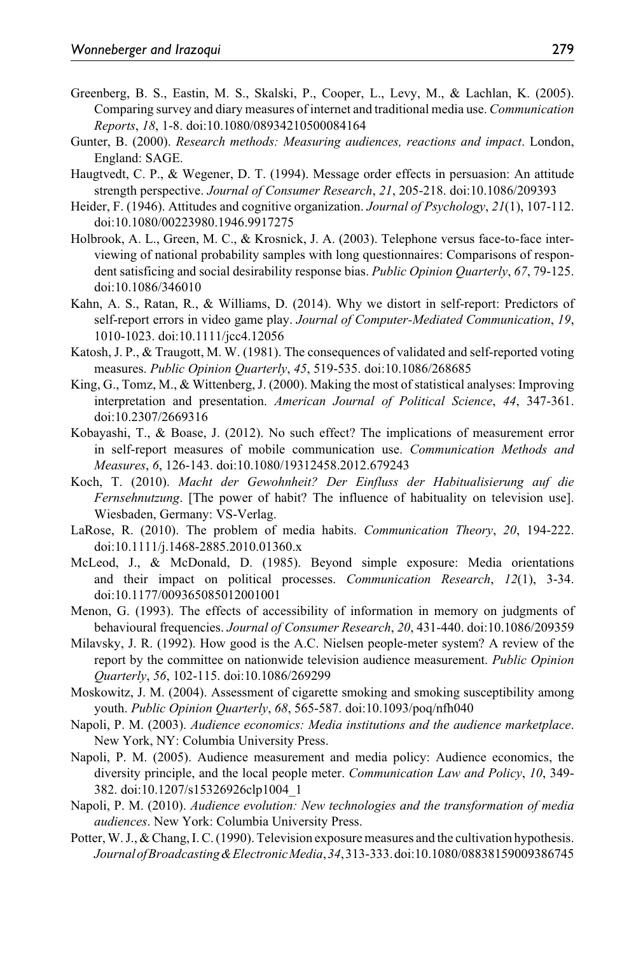- Greenberg, B. S., Eastin, M. S., Skalski, P., Cooper, L., Levy, M., & Lachlan, K. (2005). Comparing survey and diary measures of internet and traditional media use. *Communication Reports*, *18*, 1-8. doi:10.1080/08934210500084164
- Gunter, B. (2000). *Research methods: Measuring audiences, reactions and impact*. London, England: SAGE.
- Haugtvedt, C. P., & Wegener, D. T. (1994). Message order effects in persuasion: An attitude strength perspective. *Journal of Consumer Research*, *21*, 205-218. doi:10.1086/209393
- Heider, F. (1946). Attitudes and cognitive organization. *Journal of Psychology*, *21*(1), 107-112. doi:10.1080/00223980.1946.9917275
- Holbrook, A. L., Green, M. C., & Krosnick, J. A. (2003). Telephone versus face-to-face interviewing of national probability samples with long questionnaires: Comparisons of respondent satisficing and social desirability response bias. *Public Opinion Quarterly*, *67*, 79-125. doi:10.1086/346010
- Kahn, A. S., Ratan, R., & Williams, D. (2014). Why we distort in self-report: Predictors of self-report errors in video game play. *Journal of Computer-Mediated Communication*, *19*, 1010-1023. doi:10.1111/jcc4.12056
- Katosh, J. P., & Traugott, M. W. (1981). The consequences of validated and self-reported voting measures. *Public Opinion Quarterly*, *45*, 519-535. doi:10.1086/268685
- King, G., Tomz, M., & Wittenberg, J. (2000). Making the most of statistical analyses: Improving interpretation and presentation. *American Journal of Political Science*, *44*, 347-361. doi:10.2307/2669316
- Kobayashi, T., & Boase, J. (2012). No such effect? The implications of measurement error in self-report measures of mobile communication use. *Communication Methods and Measures*, *6*, 126-143. doi:10.1080/19312458.2012.679243
- Koch, T. (2010). *Macht der Gewohnheit? Der Einfluss der Habitualisierung auf die Fernsehnutzung*. [The power of habit? The influence of habituality on television use]. Wiesbaden, Germany: VS-Verlag.
- LaRose, R. (2010). The problem of media habits. *Communication Theory*, *20*, 194-222. doi:10.1111/j.1468-2885.2010.01360.x
- McLeod, J., & McDonald, D. (1985). Beyond simple exposure: Media orientations and their impact on political processes. *Communication Research*, *12*(1), 3-34. doi:10.1177/009365085012001001
- Menon, G. (1993). The effects of accessibility of information in memory on judgments of behavioural frequencies. *Journal of Consumer Research*, *20*, 431-440. doi:10.1086/209359
- Milavsky, J. R. (1992). How good is the A.C. Nielsen people-meter system? A review of the report by the committee on nationwide television audience measurement. *Public Opinion Quarterly*, *56*, 102-115. doi:10.1086/269299
- Moskowitz, J. M. (2004). Assessment of cigarette smoking and smoking susceptibility among youth. *Public Opinion Quarterly*, *68*, 565-587. doi:10.1093/poq/nfh040
- Napoli, P. M. (2003). *Audience economics: Media institutions and the audience marketplace*. New York, NY: Columbia University Press.
- Napoli, P. M. (2005). Audience measurement and media policy: Audience economics, the diversity principle, and the local people meter. *Communication Law and Policy*, *10*, 349- 382. doi:10.1207/s15326926clp1004\_1
- Napoli, P. M. (2010). *Audience evolution: New technologies and the transformation of media audiences*. New York: Columbia University Press.
- Potter, W. J., & Chang, I. C. (1990). Television exposure measures and the cultivation hypothesis. *Journal of Broadcasting & Electronic Media*, *34*, 313-333. doi:10.1080/08838159009386745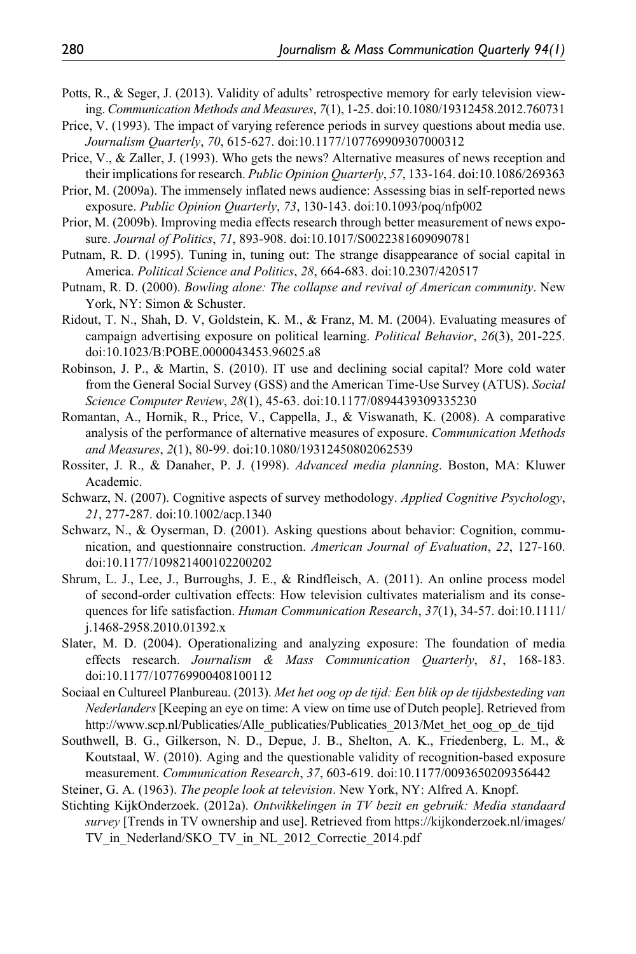- Potts, R., & Seger, J. (2013). Validity of adults' retrospective memory for early television viewing. *Communication Methods and Measures*, *7*(1), 1-25. doi:10.1080/19312458.2012.760731
- Price, V. (1993). The impact of varying reference periods in survey questions about media use. *Journalism Quarterly*, *70*, 615-627. doi:10.1177/107769909307000312
- Price, V., & Zaller, J. (1993). Who gets the news? Alternative measures of news reception and their implications for research. *Public Opinion Quarterly*, *57*, 133-164. doi:10.1086/269363
- Prior, M. (2009a). The immensely inflated news audience: Assessing bias in self-reported news exposure. *Public Opinion Quarterly*, *73*, 130-143. doi:10.1093/poq/nfp002
- Prior, M. (2009b). Improving media effects research through better measurement of news exposure. *Journal of Politics*, *71*, 893-908. doi:10.1017/S0022381609090781
- Putnam, R. D. (1995). Tuning in, tuning out: The strange disappearance of social capital in America. *Political Science and Politics*, *28*, 664-683. doi:10.2307/420517
- Putnam, R. D. (2000). *Bowling alone: The collapse and revival of American community*. New York, NY: Simon & Schuster.
- Ridout, T. N., Shah, D. V, Goldstein, K. M., & Franz, M. M. (2004). Evaluating measures of campaign advertising exposure on political learning. *Political Behavior*, *26*(3), 201-225. doi:10.1023/B:POBE.0000043453.96025.a8
- Robinson, J. P., & Martin, S. (2010). IT use and declining social capital? More cold water from the General Social Survey (GSS) and the American Time-Use Survey (ATUS). *Social Science Computer Review*, *28*(1), 45-63. doi:10.1177/0894439309335230
- Romantan, A., Hornik, R., Price, V., Cappella, J., & Viswanath, K. (2008). A comparative analysis of the performance of alternative measures of exposure. *Communication Methods and Measures*, *2*(1), 80-99. doi:10.1080/19312450802062539
- Rossiter, J. R., & Danaher, P. J. (1998). *Advanced media planning*. Boston, MA: Kluwer Academic.
- Schwarz, N. (2007). Cognitive aspects of survey methodology. *Applied Cognitive Psychology*, *21*, 277-287. doi:10.1002/acp.1340
- Schwarz, N., & Oyserman, D. (2001). Asking questions about behavior: Cognition, communication, and questionnaire construction. *American Journal of Evaluation*, *22*, 127-160. doi:10.1177/109821400102200202
- Shrum, L. J., Lee, J., Burroughs, J. E., & Rindfleisch, A. (2011). An online process model of second-order cultivation effects: How television cultivates materialism and its consequences for life satisfaction. *Human Communication Research*, *37*(1), 34-57. doi:10.1111/ j.1468-2958.2010.01392.x
- Slater, M. D. (2004). Operationalizing and analyzing exposure: The foundation of media effects research. *Journalism & Mass Communication Quarterly*, *81*, 168-183. doi:10.1177/107769900408100112
- Sociaal en Cultureel Planbureau. (2013). *Met het oog op de tijd: Een blik op de tijdsbesteding van Nederlanders* [Keeping an eye on time: A view on time use of Dutch people]. Retrieved from [http://www.scp.nl/Publicaties/Alle\\_publicaties/Publicaties\\_2013/Met\\_het\\_oog\\_op\\_de\\_tijd](http://www.scp.nl/Publicaties/Alle_publicaties/Publicaties_2013/Met_het_oog_op_de_tijd)
- Southwell, B. G., Gilkerson, N. D., Depue, J. B., Shelton, A. K., Friedenberg, L. M., & Koutstaal, W. (2010). Aging and the questionable validity of recognition-based exposure measurement. *Communication Research*, *37*, 603-619. doi:10.1177/0093650209356442
- Steiner, G. A. (1963). *The people look at television*. New York, NY: Alfred A. Knopf.
- Stichting KijkOnderzoek. (2012a). *Ontwikkelingen in TV bezit en gebruik: Media standaard survey* [Trends in TV ownership and use]. Retrieved from [https://kijkonderzoek.nl/images/](https://kijkonderzoek.nl/images/TV_in_Nederland/SKO_TV_in_NL_2012_Correctie_2014.pdf) TV in Nederland/SKO TV in NL 2012 Correctie 2014.pdf